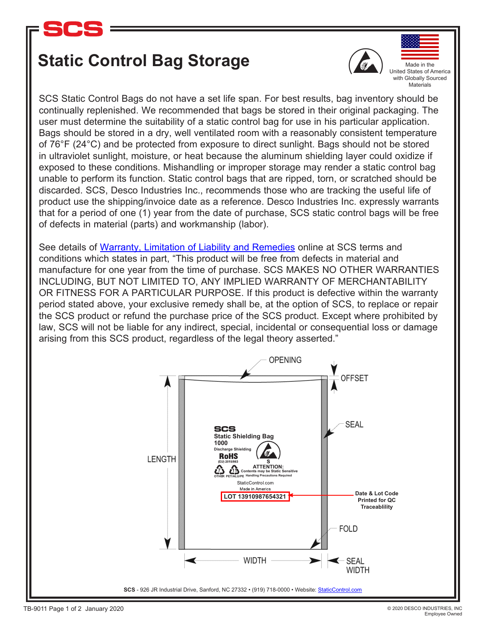

## **Static Control Bag Storage**



Made in the United States of America with Globally Sourced **Materials** 

SCS Static Control Bags do not have a set life span. For best results, bag inventory should be continually replenished. We recommended that bags be stored in their original packaging. The user must determine the suitability of a static control bag for use in his particular application. Bags should be stored in a dry, well ventilated room with a reasonably consistent temperature of 76°F (24°C) and be protected from exposure to direct sunlight. Bags should not be stored in ultraviolet sunlight, moisture, or heat because the aluminum shielding layer could oxidize if exposed to these conditions. Mishandling or improper storage may render a static control bag unable to perform its function. Static control bags that are ripped, torn, or scratched should be discarded. SCS, Desco Industries Inc., recommends those who are tracking the useful life of product use the shipping/invoice date as a reference. Desco Industries Inc. expressly warrants that for a period of one (1) year from the date of purchase, SCS static control bags will be free of defects in material (parts) and workmanship (labor).

arising from this SCS product, regardless of the legal theory asserted."  $\begin{array}{|c|c|c|}\hline \text{ } & \text{ } & \text{ } \end{array}$ See details of [Warranty, Limitation of Liability and Remedies](http://staticcontrol.descoindustries.com/TermsAndConditions.aspx) online at SCS terms and conditions which states in part, "This product will be free from defects in material and manufacture for one year from the time of purchase. SCS MAKES NO OTHER WARRANTIES INCLUDING, BUT NOT LIMITED TO, ANY IMPLIED WARRANTY OF MERCHANTABILITY OR FITNESS FOR A PARTICULAR PURPOSE. If this product is defective within the warranty period stated above, your exclusive remedy shall be, at the option of SCS, to replace or repair the SCS product or refund the purchase price of the SCS product. Except where prohibited by law, SCS will not be liable for any indirect, special, incidental or consequential loss or damage